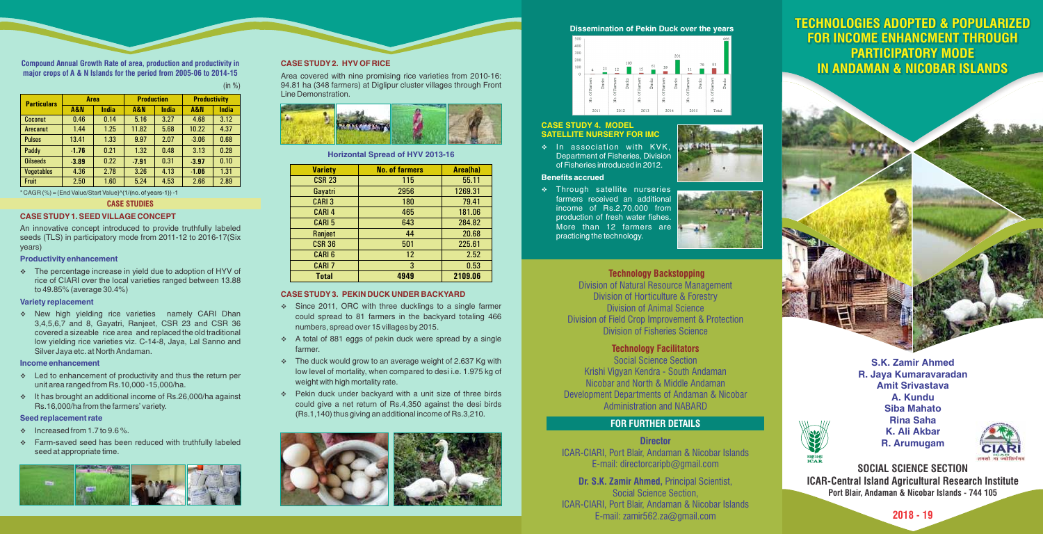

# **2018 - 19**

S.K. Zamir Ahmed R. Jaya Kumaravaradan Amit Srivastava A. Kundu Siba Mahato Rina Saha K. Ali Akbar R. Arumugam



# **TECHNOLOGIES ADOPTED & POPULARIZED FOR INCOME ENHANCMENT THROUGH PARTICIPATORY MODE PARTICIPATORY MODE IN ANDAMAN & NICOBAR ISLANDS IN ANDAMAN & NICOBAR ISLANDS ISCHINOLOGIES ADOPTED & POPULARIZED<br>FOR INCOME ENHANCMENT THROUGH<br>PARTICIPATORY MODE<br>IN ANDAMAN & NICOBAR ISLANDS FOR INCOME ENHANCMENT THROUGH**



भाकुंअनुप<br>ICA R

 $\cdot$  The percentage increase in yield due to adoption of HYV of rice of CIARI over the local varieties ranged between 13.88 to 49.85% (average 30.4%)

\* New high yielding rice varieties namely CARI Dhan 3,4,5,6,7 and 8, Gayatri, Ranjeet, CSR 23 and CSR 36 covered a sizeable rice area and replaced the old traditional low yielding rice varieties viz. C-14-8, Jaya, Lal Sanno and Silver Jaya etc. at North Andaman.

**Compound Annual Growth Rate of area, production and productivity in major crops of A & N Islands for the period from 2005-06 to 2014-15**

 $(in %)$ 

#### Productivity enhancement

- $\div$  Led to enhancement of productivity and thus the return per unit area ranged from Rs.10,000 -15,000/ha.
- v It has brought an additional income of Rs.26,000/ha against Rs.16,000/ha from the farmers' variety.

### Variety replacement

#### Income enhancement

### Seed replacement rate

- $\cdot$  Increased from 1.7 to 9.6%.
- v Farm-saved seed has been reduced with truthfully labeled seed at appropriate time.



An innovative concept introduced to provide truthfully labeled seeds (TLS) in participatory mode from 2011-12 to 2016-17(Six years)

- Since 2011, ORC with three ducklings to a single farmer could spread to 81 farmers in the backyard totaling 466 numbers, spread over 15 villages by 2015.
- $\div$  A total of 881 eggs of pekin duck were spread by a single farmer.
- $\cdot$  The duck would grow to an average weight of 2.637 Kg with low level of mortality, when compared to desi i.e. 1.975 kg of weight with high mortality rate.
- v Pekin duck under backyard with a unit size of three birds could give a net return of Rs.4,350 against the desi birds (Rs.1,140) thus giving an additional income of Rs.3,210.



\* CAGR (%) = {End Value/Start Value} ^(1/(no. of years-1)) -1

 $\bullet$  In association with KVK. Department of Fisheries, Division of Fisheries introduced in 2012.

**\*** Through satellite nurseries farmers received an additional income of Rs.2,70,000 from production of fresh water fishes. More than 12 farmers are practicing the technology.



 $-1$ 

## **CASE STUDIES**

## CASE STUDY1. SEED VILLAGE CONCEPT

### CASE STUDY2. HYV OF RICE

#### CASE STUDY3. PEKIN DUCK UNDER BACKYARD

Area covered with nine promising rice varieties from 2010-16: 94.81 ha (348 farmers) at Diglipur cluster villages through Front Line Demonstration.



### Horizontal Spread of HYV 2013-16

## Dissemination of Pekin Duck over the years



## Benefits accrued

# CASE STUDY 4. MODEL SATELLITE NURSERY FOR IMC

# **Technology Backstopping**

# **Technology Facilitators**

Division of Natural Resource Management Division of Horticulture & Forestry Division of Animal Science Division of Field Crop Improvement & Protection Division of Fisheries Science

Social Science Section Krishi Vigyan Kendra - South Andaman Nicobar and North & Middle Andaman Development Departments of Andaman & Nicobar Administration and NABARD

## **Director**

ICAR-CIARI, Port Blair, Andaman & Nicobar Islands E-mail: directorcaripb@gmail.com

**Dr. S.K. Zamir Ahmed,** Principal Scientist, Social Science Section, ICAR-CIARI, Port Blair, Andaman & Nicobar Islands E-mail: zamir562.za@gmail.com

# **FOR FURTHER DETAILS**

| <b>Particulars</b> | Area    |       | <b>Production</b> |       | <b>Productivity</b> |       |
|--------------------|---------|-------|-------------------|-------|---------------------|-------|
|                    | A&N     | India | A&N               | India | <b>A&amp;N</b>      | India |
| <b>Coconut</b>     | 0.46    | 0.14  | 5.16              | 3.27  | 4.68                | 3.12  |
| Arecanut           | 1.44    | 1.25  | 11.82             | 5.68  | 10.22               | 4.37  |
| <b>Pulses</b>      | 13.41   | 1.33  | 9.97              | 2.07  | $-3.06$             | 0.68  |
| Paddy              | $-1.76$ | 0.21  | 1.32              | 0.48  | 3.13                | 0.28  |
| <b>Oilseeds</b>    | $-3.89$ | 0.22  | $-7.91$           | 0.31  | $-3.97$             | 0.10  |
| <b>Vegetables</b>  | 4.36    | 2.78  | 3.26              | 4.13  | $-1.06$             | 1.31  |
| <b>Fruit</b>       | 2.50    | 1.60  | 5.24              | 4.53  | 2.66                | 2.89  |

| <b>Variety</b> | <b>No. of farmers</b> | Area(ha) |  |
|----------------|-----------------------|----------|--|
| <b>CSR 23</b>  | 115                   | 55.11    |  |
| Gayatri        | 2956                  | 1269.31  |  |
| <b>CARI3</b>   | 180                   | 79.41    |  |
| <b>CARI4</b>   | 465                   | 181.06   |  |
| <b>CARI5</b>   | 643                   | 284.82   |  |
| Ranjeet        | 44                    | 20.68    |  |
| <b>CSR 36</b>  | 501                   | 225.61   |  |
| <b>CARI6</b>   | 12                    | 2.52     |  |
| <b>CARI 7</b>  | 3                     | 0.53     |  |
| <b>Total</b>   | 4949                  | 2109.06  |  |